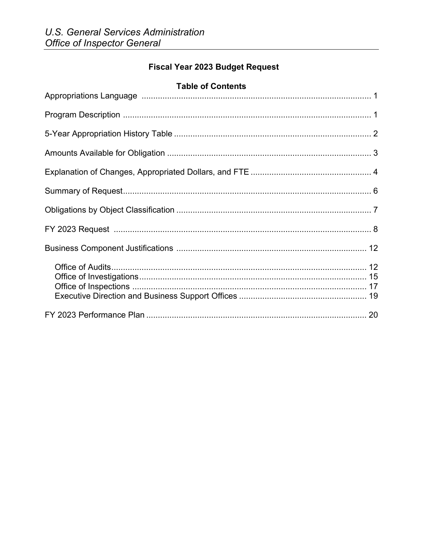# **Fiscal Year 2023 Budget Request**

### **Table of Contents**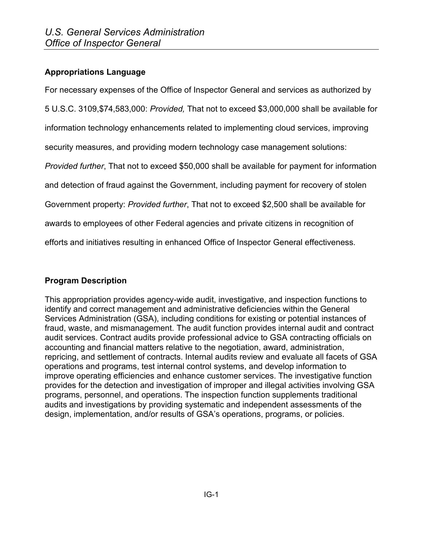### **Appropriations Language**

For necessary expenses of the Office of Inspector General and services as authorized by

5 U.S.C. 3109,\$74,583,000: *Provided,* That not to exceed \$3,000,000 shall be available for

information technology enhancements related to implementing cloud services, improving

security measures, and providing modern technology case management solutions:

*Provided further*, That not to exceed \$50,000 shall be available for payment for information

and detection of fraud against the Government, including payment for recovery of stolen

Government property: *Provided further*, That not to exceed \$2,500 shall be available for

awards to employees of other Federal agencies and private citizens in recognition of

efforts and initiatives resulting in enhanced Office of Inspector General effectiveness.

### **Program Description**

This appropriation provides agency-wide audit, investigative, and inspection functions to identify and correct management and administrative deficiencies within the General Services Administration (GSA), including conditions for existing or potential instances of fraud, waste, and mismanagement. The audit function provides internal audit and contract audit services. Contract audits provide professional advice to GSA contracting officials on accounting and financial matters relative to the negotiation, award, administration, repricing, and settlement of contracts. Internal audits review and evaluate all facets of GSA operations and programs, test internal control systems, and develop information to improve operating efficiencies and enhance customer services. The investigative function provides for the detection and investigation of improper and illegal activities involving GSA programs, personnel, and operations. The inspection function supplements traditional audits and investigations by providing systematic and independent assessments of the design, implementation, and/or results of GSA's operations, programs, or policies.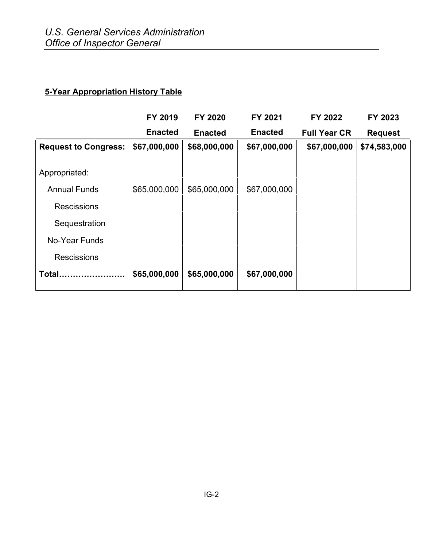# **5-Year Appropriation History Table**

|                             | FY 2019        | <b>FY 2020</b> | FY 2021        | FY 2022             | FY 2023        |
|-----------------------------|----------------|----------------|----------------|---------------------|----------------|
|                             | <b>Enacted</b> | <b>Enacted</b> | <b>Enacted</b> | <b>Full Year CR</b> | <b>Request</b> |
| <b>Request to Congress:</b> | \$67,000,000   | \$68,000,000   | \$67,000,000   | \$67,000,000        | \$74,583,000   |
|                             |                |                |                |                     |                |
| Appropriated:               |                |                |                |                     |                |
| <b>Annual Funds</b>         | \$65,000,000   | \$65,000,000   | \$67,000,000   |                     |                |
| <b>Rescissions</b>          |                |                |                |                     |                |
| Sequestration               |                |                |                |                     |                |
| No-Year Funds               |                |                |                |                     |                |
| <b>Rescissions</b>          |                |                |                |                     |                |
| Total                       | \$65,000,000   | \$65,000,000   | \$67,000,000   |                     |                |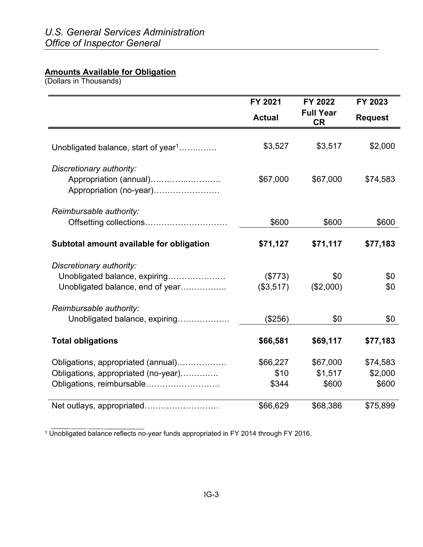#### **Amounts Available for Obligation**

(Dollars in Thousands)

|                                                                                                        | FY 2021                   | FY 2022                       | FY 2023                      |  |
|--------------------------------------------------------------------------------------------------------|---------------------------|-------------------------------|------------------------------|--|
|                                                                                                        | <b>Actual</b>             | <b>Full Year</b><br><b>CR</b> | <b>Request</b>               |  |
| Unobligated balance, start of year <sup>1</sup>                                                        | \$3,527                   | \$3,517                       | \$2,000                      |  |
| Discretionary authority:<br>Appropriation (annual)<br>Appropriation (no-year)                          | \$67,000                  | \$67,000                      | \$74,583                     |  |
| Reimbursable authority:                                                                                | \$600                     | \$600                         | \$600                        |  |
| Subtotal amount available for obligation                                                               | \$71,127                  | \$71,117                      | \$77,183                     |  |
| Discretionary authority:<br>Unobligated balance, expiring<br>Unobligated balance, end of year          | (\$773)<br>(\$3,517)      | \$0<br>(\$2,000)              | \$0<br>\$0                   |  |
| Reimbursable authority:<br>Unobligated balance, expiring                                               | (\$256)                   | \$0                           | \$0                          |  |
| <b>Total obligations</b>                                                                               | \$66,581                  | \$69,117                      | \$77,183                     |  |
| Obligations, appropriated (annual)<br>Obligations, appropriated (no-year)<br>Obligations, reimbursable | \$66,227<br>\$10<br>\$344 | \$67,000<br>\$1,517<br>\$600  | \$74,583<br>\$2,000<br>\$600 |  |
| Net outlays, appropriated                                                                              | \$66,629                  | \$68,386                      | \$75,899                     |  |

<sup>1</sup> Unobligated balance reflects no-year funds appropriated in FY 2014 through FY 2016.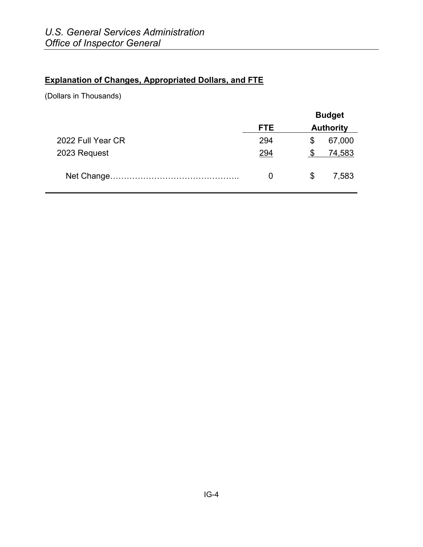### **Explanation of Changes, Appropriated Dollars, and FTE**

(Dollars in Thousands)

|                   |            | <b>Budget</b>    |        |
|-------------------|------------|------------------|--------|
|                   | <b>FTE</b> | <b>Authority</b> |        |
| 2022 Full Year CR | 294        | \$               | 67,000 |
| 2023 Request      | 294        |                  | 74,583 |
|                   | 0          | \$               | 7,583  |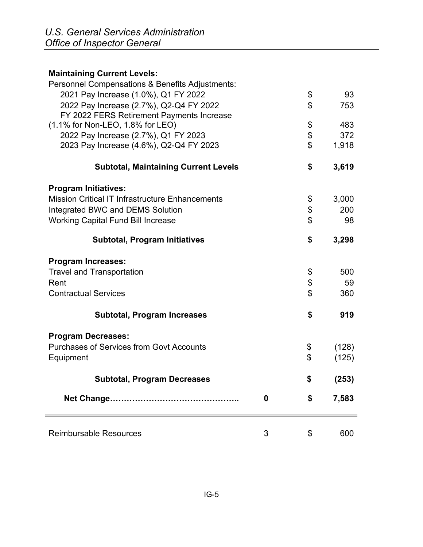# **Maintaining Current Levels:**  Personnel Compensations & Benefits Adjustments: 2021 Pay Increase (1.0%), Q1 FY 2022 \$ 93 2022 Pay Increase (2.7%), Q2-Q4 FY 2022 \$ 753 FY 2022 FERS Retirement Payments Increase (1.1% for Non-LEO, 1.8% for LEO) \$ 483 2022 Pay Increase (2.7%), Q1 FY 2023<br>2023 Pay Increase (4.6%), Q2-Q4 FY 2023  $\begin{array}{c} 1,918 \end{array}$  2023 Pay Increase (4.6%), Q2-Q4 FY 2023 \$ 1,918  **Subtotal, Maintaining Current Levels \$ 3,619 Program Initiatives:** Mission Critical IT Infrastructure Enhancements \$ 3,000 Integrated BWC and DEMS Solution  $\sim$  8 200 Working Capital Fund Bill Increase  $\sim$  98  **Subtotal, Program Initiatives \$ 3,298 Program Increases:** Travel and Transportation **by Equation**  $\frac{1}{2}$  500 Rent  $\sim$  59 Contractual Services \$ 360  **Subtotal, Program Increases \$ 919 Program Decreases:** Purchases of Services from Govt Accounts  $\qquad \qquad$  (128) Equipment (125)  **Subtotal, Program Decreases \$ (253) Net Change……………………………………….. 0 \$ 7,583** Reimbursable Resources 1 and 1 and 1 and 1 and 1 and 1 and 1 and 1 and 1 and 1 and 1 and 1 and 1 and 1 and 1 and 1 and 1 and 1 and 1 and 1 and 1 and 1 and 1 and 1 and 1 and 1 and 1 and 1 and 1 and 1 and 1 and 1 and 1 and 1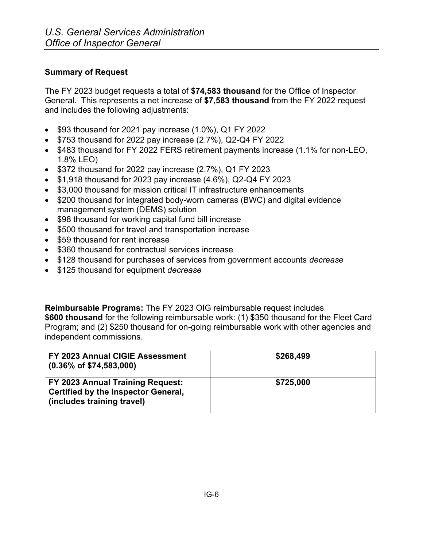#### **Summary of Request**

The FY 2023 budget requests a total of **\$74,583 thousand** for the Office of Inspector General. This represents a net increase of **\$7,583 thousand** from the FY 2022 request and includes the following adjustments:

- \$93 thousand for 2021 pay increase (1.0%), Q1 FY 2022
- \$753 thousand for 2022 pay increase (2.7%), Q2-Q4 FY 2022
- \$483 thousand for FY 2022 FERS retirement payments increase (1.1% for non-LEO, 1.8% LEO)
- \$372 thousand for 2022 pay increase (2.7%), Q1 FY 2023
- \$1,918 thousand for 2023 pay increase (4.6%), Q2-Q4 FY 2023
- \$3,000 thousand for mission critical IT infrastructure enhancements
- \$200 thousand for integrated body-worn cameras (BWC) and digital evidence management system (DEMS) solution
- \$98 thousand for working capital fund bill increase
- \$500 thousand for travel and transportation increase
- \$59 thousand for rent increase
- \$360 thousand for contractual services increase
- \$128 thousand for purchases of services from government accounts *decrease*
- \$125 thousand for equipment *decrease*

**Reimbursable Programs:** The FY 2023 OIG reimbursable request includes **\$600 thousand** for the following reimbursable work: (1) \$350 thousand for the Fleet Card Program; and (2) \$250 thousand for on-going reimbursable work with other agencies and independent commissions.

| FY 2023 Annual CIGIE Assessment<br>$(0.36\% \text{ of } $74,583,000)$                                        | \$268,499 |
|--------------------------------------------------------------------------------------------------------------|-----------|
| FY 2023 Annual Training Request:<br><b>Certified by the Inspector General,</b><br>(includes training travel) | \$725,000 |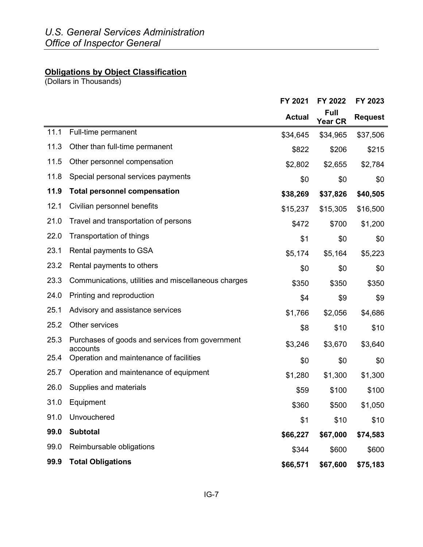#### **Obligations by Object Classification**

(Dollars in Thousands)

|      |                                                             | FY 2021       | FY 2022                       | FY 2023        |
|------|-------------------------------------------------------------|---------------|-------------------------------|----------------|
|      |                                                             | <b>Actual</b> | <b>Full</b><br><b>Year CR</b> | <b>Request</b> |
| 11.1 | Full-time permanent                                         | \$34,645      | \$34,965                      | \$37,506       |
| 11.3 | Other than full-time permanent                              | \$822         | \$206                         | \$215          |
| 11.5 | Other personnel compensation                                | \$2,802       | \$2,655                       | \$2,784        |
| 11.8 | Special personal services payments                          | \$0           | \$0                           | \$0            |
| 11.9 | <b>Total personnel compensation</b>                         | \$38,269      | \$37,826                      | \$40,505       |
| 12.1 | Civilian personnel benefits                                 | \$15,237      | \$15,305                      | \$16,500       |
| 21.0 | Travel and transportation of persons                        | \$472         | \$700                         | \$1,200        |
| 22.0 | <b>Transportation of things</b>                             | \$1           | \$0                           | \$0            |
| 23.1 | Rental payments to GSA                                      | \$5,174       | \$5,164                       | \$5,223        |
| 23.2 | Rental payments to others                                   | \$0           | \$0                           | \$0            |
| 23.3 | Communications, utilities and miscellaneous charges         | \$350         | \$350                         | \$350          |
| 24.0 | Printing and reproduction                                   | \$4           | \$9                           | \$9            |
| 25.1 | Advisory and assistance services                            | \$1,766       | \$2,056                       | \$4,686        |
| 25.2 | Other services                                              | \$8           | \$10                          | \$10           |
| 25.3 | Purchases of goods and services from government<br>accounts | \$3,246       | \$3,670                       | \$3,640        |
| 25.4 | Operation and maintenance of facilities                     | \$0           | \$0                           | \$0            |
| 25.7 | Operation and maintenance of equipment                      | \$1,280       | \$1,300                       | \$1,300        |
| 26.0 | Supplies and materials                                      | \$59          | \$100                         | \$100          |
| 31.0 | Equipment                                                   | \$360         | \$500                         | \$1,050        |
| 91.0 | Unvouchered                                                 | \$1           | \$10                          | \$10           |
| 99.0 | <b>Subtotal</b>                                             | \$66,227      | \$67,000                      | \$74,583       |
| 99.0 | Reimbursable obligations                                    | \$344         | \$600                         | \$600          |
| 99.9 | <b>Total Obligations</b>                                    | \$66,571      | \$67,600                      | \$75,183       |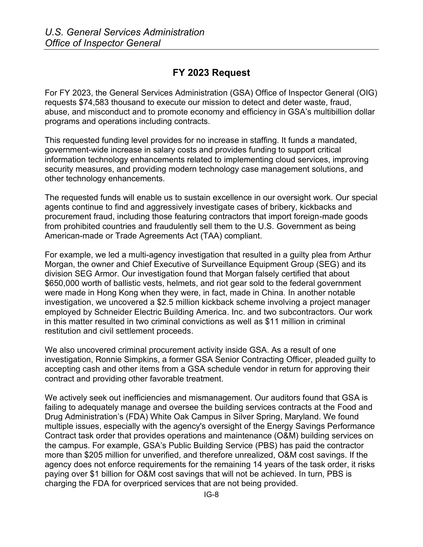## **FY 2023 Request**

For FY 2023, the General Services Administration (GSA) Office of Inspector General (OIG) requests \$74,583 thousand to execute our mission to detect and deter waste, fraud, abuse, and misconduct and to promote economy and efficiency in GSA's multibillion dollar programs and operations including contracts.

This requested funding level provides for no increase in staffing. It funds a mandated, government-wide increase in salary costs and provides funding to support critical information technology enhancements related to implementing cloud services, improving security measures, and providing modern technology case management solutions, and other technology enhancements.

The requested funds will enable us to sustain excellence in our oversight work. Our special agents continue to find and aggressively investigate cases of bribery, kickbacks and procurement fraud, including those featuring contractors that import foreign-made goods from prohibited countries and fraudulently sell them to the U.S. Government as being American-made or Trade Agreements Act (TAA) compliant.

For example, we led a multi-agency investigation that resulted in a guilty plea from Arthur Morgan, the owner and Chief Executive of Surveillance Equipment Group (SEG) and its division SEG Armor. Our investigation found that Morgan falsely certified that about \$650,000 worth of ballistic vests, helmets, and riot gear sold to the federal government were made in Hong Kong when they were, in fact, made in China. In another notable investigation, we uncovered a \$2.5 million kickback scheme involving a project manager employed by Schneider Electric Building America. Inc. and two subcontractors. Our work in this matter resulted in two criminal convictions as well as \$11 million in criminal restitution and civil settlement proceeds.

We also uncovered criminal procurement activity inside GSA. As a result of one investigation, Ronnie Simpkins, a former GSA Senior Contracting Officer, pleaded guilty to accepting cash and other items from a GSA schedule vendor in return for approving their contract and providing other favorable treatment.

We actively seek out inefficiencies and mismanagement. Our auditors found that GSA is failing to adequately manage and oversee the building services contracts at the Food and Drug Administration's (FDA) White Oak Campus in Silver Spring, Maryland. We found multiple issues, especially with the agency's oversight of the Energy Savings Performance Contract task order that provides operations and maintenance (O&M) building services on the campus. For example, GSA's Public Building Service (PBS) has paid the contractor more than \$205 million for unverified, and therefore unrealized, O&M cost savings. If the agency does not enforce requirements for the remaining 14 years of the task order, it risks paying over \$1 billion for O&M cost savings that will not be achieved. In turn, PBS is charging the FDA for overpriced services that are not being provided.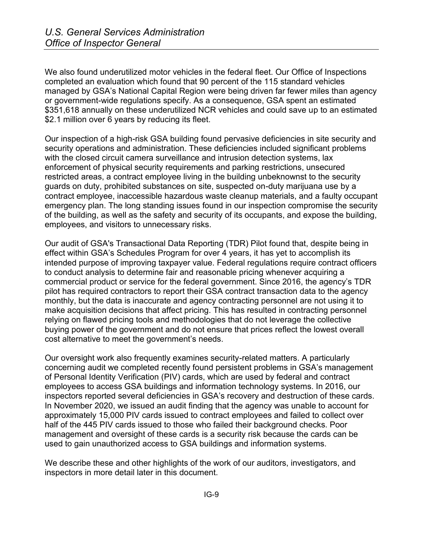We also found underutilized motor vehicles in the federal fleet. Our Office of Inspections completed an evaluation which found that 90 percent of the 115 standard vehicles managed by GSA's National Capital Region were being driven far fewer miles than agency or government-wide regulations specify. As a consequence, GSA spent an estimated \$351,618 annually on these underutilized NCR vehicles and could save up to an estimated \$2.1 million over 6 years by reducing its fleet.

Our inspection of a high-risk GSA building found pervasive deficiencies in site security and security operations and administration. These deficiencies included significant problems with the closed circuit camera surveillance and intrusion detection systems, lax enforcement of physical security requirements and parking restrictions, unsecured restricted areas, a contract employee living in the building unbeknownst to the security guards on duty, prohibited substances on site, suspected on-duty marijuana use by a contract employee, inaccessible hazardous waste cleanup materials, and a faulty occupant emergency plan. The long standing issues found in our inspection compromise the security of the building, as well as the safety and security of its occupants, and expose the building, employees, and visitors to unnecessary risks.

Our audit of GSA's Transactional Data Reporting (TDR) Pilot found that, despite being in effect within GSA's Schedules Program for over 4 years, it has yet to accomplish its intended purpose of improving taxpayer value. Federal regulations require contract officers to conduct analysis to determine fair and reasonable pricing whenever acquiring a commercial product or service for the federal government. Since 2016, the agency's TDR pilot has required contractors to report their GSA contract transaction data to the agency monthly, but the data is inaccurate and agency contracting personnel are not using it to make acquisition decisions that affect pricing. This has resulted in contracting personnel relying on flawed pricing tools and methodologies that do not leverage the collective buying power of the government and do not ensure that prices reflect the lowest overall cost alternative to meet the government's needs.

Our oversight work also frequently examines security-related matters. A particularly concerning audit we completed recently found persistent problems in GSA's management of Personal Identity Verification (PIV) cards, which are used by federal and contract employees to access GSA buildings and information technology systems. In 2016, our inspectors reported several deficiencies in GSA's recovery and destruction of these cards. In November 2020, we issued an audit finding that the agency was unable to account for approximately 15,000 PIV cards issued to contract employees and failed to collect over half of the 445 PIV cards issued to those who failed their background checks. Poor management and oversight of these cards is a security risk because the cards can be used to gain unauthorized access to GSA buildings and information systems.

We describe these and other highlights of the work of our auditors, investigators, and inspectors in more detail later in this document.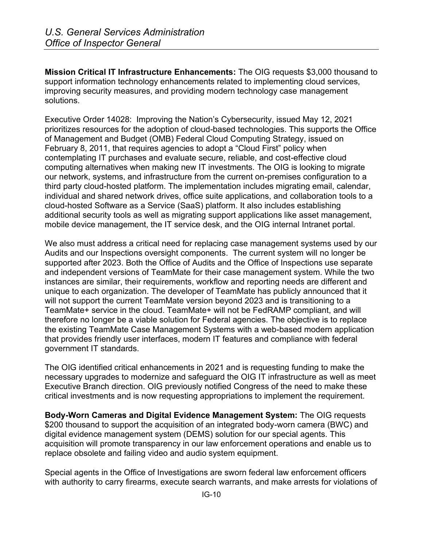**Mission Critical IT Infrastructure Enhancements:** The OIG requests \$3,000 thousand to support information technology enhancements related to implementing cloud services, improving security measures, and providing modern technology case management solutions.

Executive Order 14028: Improving the Nation's Cybersecurity, issued May 12, 2021 prioritizes resources for the adoption of cloud-based technologies. This supports the Office of Management and Budget (OMB) Federal Cloud Computing Strategy, issued on February 8, 2011, that requires agencies to adopt a "Cloud First" policy when contemplating IT purchases and evaluate secure, reliable, and cost-effective cloud computing alternatives when making new IT investments. The OIG is looking to migrate our network, systems, and infrastructure from the current on-premises configuration to a third party cloud-hosted platform. The implementation includes migrating email, calendar, individual and shared network drives, office suite applications, and collaboration tools to a cloud-hosted Software as a Service (SaaS) platform. It also includes establishing additional security tools as well as migrating support applications like asset management, mobile device management, the IT service desk, and the OIG internal Intranet portal.

We also must address a critical need for replacing case management systems used by our Audits and our Inspections oversight components. The current system will no longer be supported after 2023. Both the Office of Audits and the Office of Inspections use separate and independent versions of TeamMate for their case management system. While the two instances are similar, their requirements, workflow and reporting needs are different and unique to each organization. The developer of TeamMate has publicly announced that it will not support the current TeamMate version beyond 2023 and is transitioning to a TeamMate+ service in the cloud. TeamMate+ will not be FedRAMP compliant, and will therefore no longer be a viable solution for Federal agencies. The objective is to replace the existing TeamMate Case Management Systems with a web-based modern application that provides friendly user interfaces, modern IT features and compliance with federal government IT standards.

The OIG identified critical enhancements in 2021 and is requesting funding to make the necessary upgrades to modernize and safeguard the OIG IT infrastructure as well as meet Executive Branch direction. OIG previously notified Congress of the need to make these critical investments and is now requesting appropriations to implement the requirement.

**Body-Worn Cameras and Digital Evidence Management System:** The OIG requests \$200 thousand to support the acquisition of an integrated body-worn camera (BWC) and digital evidence management system (DEMS) solution for our special agents. This acquisition will promote transparency in our law enforcement operations and enable us to replace obsolete and failing video and audio system equipment.

Special agents in the Office of Investigations are sworn federal law enforcement officers with authority to carry firearms, execute search warrants, and make arrests for violations of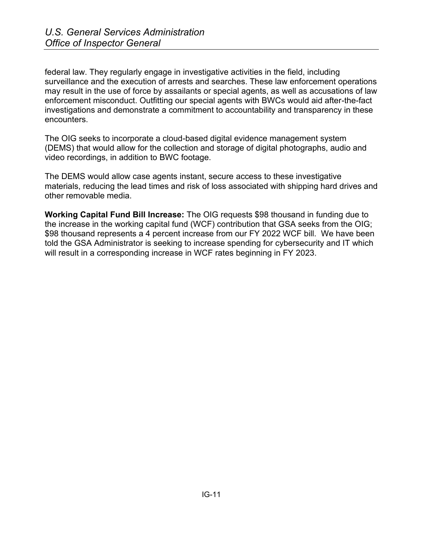federal law. They regularly engage in investigative activities in the field, including surveillance and the execution of arrests and searches. These law enforcement operations may result in the use of force by assailants or special agents, as well as accusations of law enforcement misconduct. Outfitting our special agents with BWCs would aid after-the-fact investigations and demonstrate a commitment to accountability and transparency in these encounters.

The OIG seeks to incorporate a cloud-based digital evidence management system (DEMS) that would allow for the collection and storage of digital photographs, audio and video recordings, in addition to BWC footage.

The DEMS would allow case agents instant, secure access to these investigative materials, reducing the lead times and risk of loss associated with shipping hard drives and other removable media.

**Working Capital Fund Bill Increase:** The OIG requests \$98 thousand in funding due to the increase in the working capital fund (WCF) contribution that GSA seeks from the OIG; \$98 thousand represents a 4 percent increase from our FY 2022 WCF bill. We have been told the GSA Administrator is seeking to increase spending for cybersecurity and IT which will result in a corresponding increase in WCF rates beginning in FY 2023.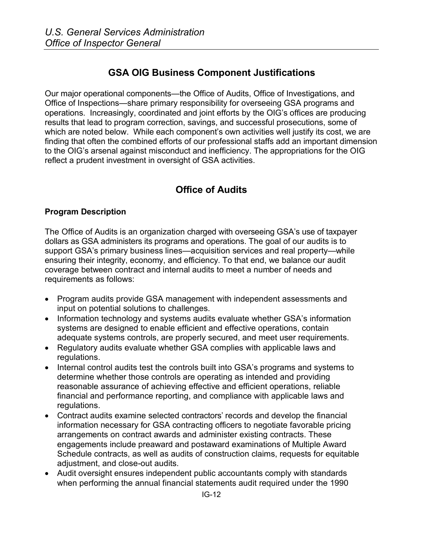# **GSA OIG Business Component Justifications**

Our major operational components—the Office of Audits, Office of Investigations, and Office of Inspections—share primary responsibility for overseeing GSA programs and operations. Increasingly, coordinated and joint efforts by the OIG's offices are producing results that lead to program correction, savings, and successful prosecutions, some of which are noted below. While each component's own activities well justify its cost, we are finding that often the combined efforts of our professional staffs add an important dimension to the OIG's arsenal against misconduct and inefficiency. The appropriations for the OIG reflect a prudent investment in oversight of GSA activities.

# **Office of Audits**

#### **Program Description**

The Office of Audits is an organization charged with overseeing GSA's use of taxpayer dollars as GSA administers its programs and operations. The goal of our audits is to support GSA's primary business lines—acquisition services and real property—while ensuring their integrity, economy, and efficiency. To that end, we balance our audit coverage between contract and internal audits to meet a number of needs and requirements as follows:

- Program audits provide GSA management with independent assessments and input on potential solutions to challenges.
- Information technology and systems audits evaluate whether GSA's information systems are designed to enable efficient and effective operations, contain adequate systems controls, are properly secured, and meet user requirements.
- Regulatory audits evaluate whether GSA complies with applicable laws and regulations.
- Internal control audits test the controls built into GSA's programs and systems to determine whether those controls are operating as intended and providing reasonable assurance of achieving effective and efficient operations, reliable financial and performance reporting, and compliance with applicable laws and regulations.
- Contract audits examine selected contractors' records and develop the financial information necessary for GSA contracting officers to negotiate favorable pricing arrangements on contract awards and administer existing contracts. These engagements include preaward and postaward examinations of Multiple Award Schedule contracts, as well as audits of construction claims, requests for equitable adjustment, and close-out audits.
- Audit oversight ensures independent public accountants comply with standards when performing the annual financial statements audit required under the 1990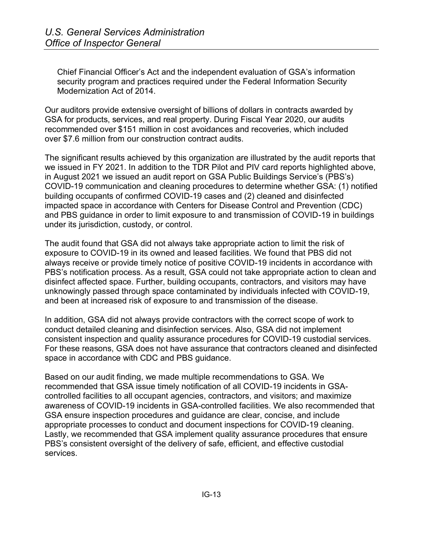Chief Financial Officer's Act and the independent evaluation of GSA's information security program and practices required under the Federal Information Security Modernization Act of 2014.

Our auditors provide extensive oversight of billions of dollars in contracts awarded by GSA for products, services, and real property. During Fiscal Year 2020, our audits recommended over \$151 million in cost avoidances and recoveries, which included over \$7.6 million from our construction contract audits.

The significant results achieved by this organization are illustrated by the audit reports that we issued in FY 2021. In addition to the TDR Pilot and PIV card reports highlighted above, in August 2021 we issued an audit report on GSA Public Buildings Service's (PBS's) COVID-19 communication and cleaning procedures to determine whether GSA: (1) notified building occupants of confirmed COVID-19 cases and (2) cleaned and disinfected impacted space in accordance with Centers for Disease Control and Prevention (CDC) and PBS guidance in order to limit exposure to and transmission of COVID-19 in buildings under its jurisdiction, custody, or control.

The audit found that GSA did not always take appropriate action to limit the risk of exposure to COVID-19 in its owned and leased facilities. We found that PBS did not always receive or provide timely notice of positive COVID-19 incidents in accordance with PBS's notification process. As a result, GSA could not take appropriate action to clean and disinfect affected space. Further, building occupants, contractors, and visitors may have unknowingly passed through space contaminated by individuals infected with COVID-19, and been at increased risk of exposure to and transmission of the disease.

In addition, GSA did not always provide contractors with the correct scope of work to conduct detailed cleaning and disinfection services. Also, GSA did not implement consistent inspection and quality assurance procedures for COVID-19 custodial services. For these reasons, GSA does not have assurance that contractors cleaned and disinfected space in accordance with CDC and PBS guidance.

Based on our audit finding, we made multiple recommendations to GSA. We recommended that GSA issue timely notification of all COVID-19 incidents in GSAcontrolled facilities to all occupant agencies, contractors, and visitors; and maximize awareness of COVID-19 incidents in GSA-controlled facilities. We also recommended that GSA ensure inspection procedures and guidance are clear, concise, and include appropriate processes to conduct and document inspections for COVID-19 cleaning. Lastly, we recommended that GSA implement quality assurance procedures that ensure PBS's consistent oversight of the delivery of safe, efficient, and effective custodial services.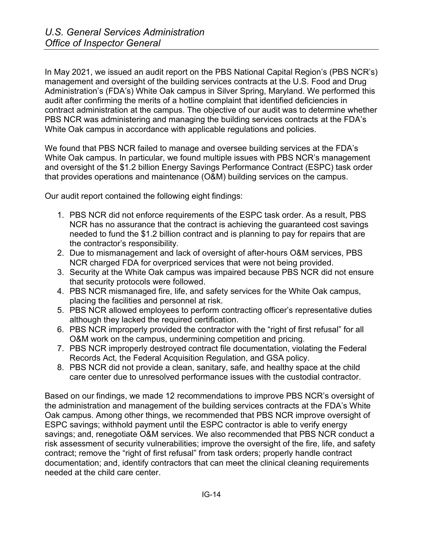In May 2021, we issued an audit report on the PBS National Capital Region's (PBS NCR's) management and oversight of the building services contracts at the U.S. Food and Drug Administration's (FDA's) White Oak campus in Silver Spring, Maryland. We performed this audit after confirming the merits of a hotline complaint that identified deficiencies in contract administration at the campus. The objective of our audit was to determine whether PBS NCR was administering and managing the building services contracts at the FDA's White Oak campus in accordance with applicable regulations and policies.

We found that PBS NCR failed to manage and oversee building services at the FDA's White Oak campus. In particular, we found multiple issues with PBS NCR's management and oversight of the \$1.2 billion Energy Savings Performance Contract (ESPC) task order that provides operations and maintenance (O&M) building services on the campus.

Our audit report contained the following eight findings:

- 1. PBS NCR did not enforce requirements of the ESPC task order. As a result, PBS NCR has no assurance that the contract is achieving the guaranteed cost savings needed to fund the \$1.2 billion contract and is planning to pay for repairs that are the contractor's responsibility.
- 2. Due to mismanagement and lack of oversight of after-hours O&M services, PBS NCR charged FDA for overpriced services that were not being provided.
- 3. Security at the White Oak campus was impaired because PBS NCR did not ensure that security protocols were followed.
- 4. PBS NCR mismanaged fire, life, and safety services for the White Oak campus, placing the facilities and personnel at risk.
- 5. PBS NCR allowed employees to perform contracting officer's representative duties although they lacked the required certification.
- 6. PBS NCR improperly provided the contractor with the "right of first refusal" for all O&M work on the campus, undermining competition and pricing.
- 7. PBS NCR improperly destroyed contract file documentation, violating the Federal Records Act, the Federal Acquisition Regulation, and GSA policy.
- 8. PBS NCR did not provide a clean, sanitary, safe, and healthy space at the child care center due to unresolved performance issues with the custodial contractor.

Based on our findings, we made 12 recommendations to improve PBS NCR's oversight of the administration and management of the building services contracts at the FDA's White Oak campus. Among other things, we recommended that PBS NCR improve oversight of ESPC savings; withhold payment until the ESPC contractor is able to verify energy savings; and, renegotiate O&M services. We also recommended that PBS NCR conduct a risk assessment of security vulnerabilities; improve the oversight of the fire, life, and safety contract; remove the "right of first refusal" from task orders; properly handle contract documentation; and, identify contractors that can meet the clinical cleaning requirements needed at the child care center.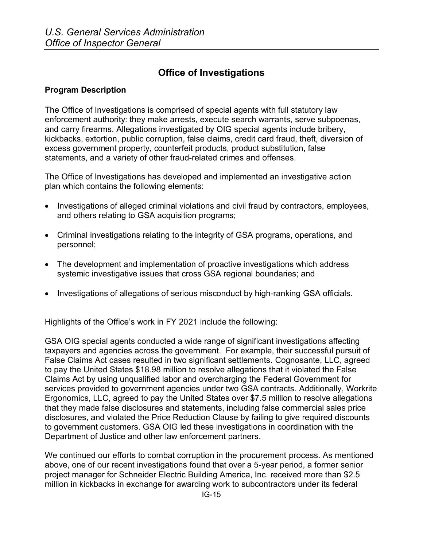# **Office of Investigations**

#### **Program Description**

The Office of Investigations is comprised of special agents with full statutory law enforcement authority: they make arrests, execute search warrants, serve subpoenas, and carry firearms. Allegations investigated by OIG special agents include bribery, kickbacks, extortion, public corruption, false claims, credit card fraud, theft, diversion of excess government property, counterfeit products, product substitution, false statements, and a variety of other fraud-related crimes and offenses.

The Office of Investigations has developed and implemented an investigative action plan which contains the following elements:

- Investigations of alleged criminal violations and civil fraud by contractors, employees, and others relating to GSA acquisition programs;
- Criminal investigations relating to the integrity of GSA programs, operations, and personnel;
- The development and implementation of proactive investigations which address systemic investigative issues that cross GSA regional boundaries; and
- Investigations of allegations of serious misconduct by high-ranking GSA officials.

Highlights of the Office's work in FY 2021 include the following:

GSA OIG special agents conducted a wide range of significant investigations affecting taxpayers and agencies across the government. For example, their successful pursuit of False Claims Act cases resulted in two significant settlements. Cognosante, LLC, agreed to pay the United States \$18.98 million to resolve allegations that it violated the False Claims Act by using unqualified labor and overcharging the Federal Government for services provided to government agencies under two GSA contracts. Additionally, Workrite Ergonomics, LLC, agreed to pay the United States over \$7.5 million to resolve allegations that they made false disclosures and statements, including false commercial sales price disclosures, and violated the Price Reduction Clause by failing to give required discounts to government customers. GSA OIG led these investigations in coordination with the Department of Justice and other law enforcement partners.

We continued our efforts to combat corruption in the procurement process. As mentioned above, one of our recent investigations found that over a 5-year period, a former senior project manager for Schneider Electric Building America, Inc. received more than \$2.5 million in kickbacks in exchange for awarding work to subcontractors under its federal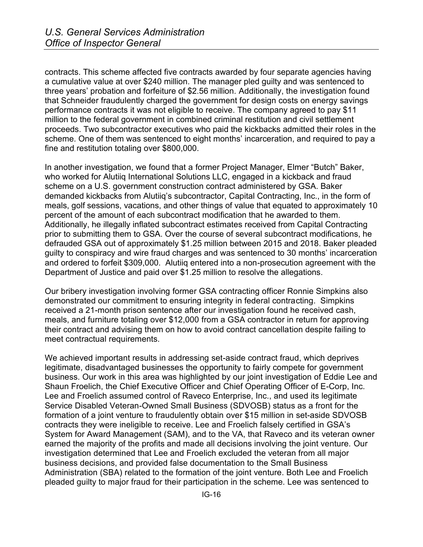contracts. This scheme affected five contracts awarded by four separate agencies having a cumulative value at over \$240 million. The manager pled guilty and was sentenced to three years' probation and forfeiture of \$2.56 million. Additionally, the investigation found that Schneider fraudulently charged the government for design costs on energy savings performance contracts it was not eligible to receive. The company agreed to pay \$11 million to the federal government in combined criminal restitution and civil settlement proceeds. Two subcontractor executives who paid the kickbacks admitted their roles in the scheme. One of them was sentenced to eight months' incarceration, and required to pay a fine and restitution totaling over \$800,000.

In another investigation, we found that a former Project Manager, Elmer "Butch" Baker, who worked for Alutiiq International Solutions LLC, engaged in a kickback and fraud scheme on a U.S. government construction contract administered by GSA. Baker demanded kickbacks from Alutiiq's subcontractor, Capital Contracting, Inc., in the form of meals, golf sessions, vacations, and other things of value that equated to approximately 10 percent of the amount of each subcontract modification that he awarded to them. Additionally, he illegally inflated subcontract estimates received from Capital Contracting prior to submitting them to GSA. Over the course of several subcontract modifications, he defrauded GSA out of approximately \$1.25 million between 2015 and 2018. Baker pleaded guilty to conspiracy and wire fraud charges and was sentenced to 30 months' incarceration and ordered to forfeit \$309,000. Alutiiq entered into a non-prosecution agreement with the Department of Justice and paid over \$1.25 million to resolve the allegations.

Our bribery investigation involving former GSA contracting officer Ronnie Simpkins also demonstrated our commitment to ensuring integrity in federal contracting. Simpkins received a 21-month prison sentence after our investigation found he received cash, meals, and furniture totaling over \$12,000 from a GSA contractor in return for approving their contract and advising them on how to avoid contract cancellation despite failing to meet contractual requirements.

We achieved important results in addressing set-aside contract fraud, which deprives legitimate, disadvantaged businesses the opportunity to fairly compete for government business. Our work in this area was highlighted by our joint investigation of Eddie Lee and Shaun Froelich, the Chief Executive Officer and Chief Operating Officer of E-Corp, Inc. Lee and Froelich assumed control of Raveco Enterprise, Inc., and used its legitimate Service Disabled Veteran-Owned Small Business (SDVOSB) status as a front for the formation of a joint venture to fraudulently obtain over \$15 million in set-aside SDVOSB contracts they were ineligible to receive. Lee and Froelich falsely certified in GSA's System for Award Management (SAM), and to the VA, that Raveco and its veteran owner earned the majority of the profits and made all decisions involving the joint venture. Our investigation determined that Lee and Froelich excluded the veteran from all major business decisions, and provided false documentation to the Small Business Administration (SBA) related to the formation of the joint venture. Both Lee and Froelich pleaded guilty to major fraud for their participation in the scheme. Lee was sentenced to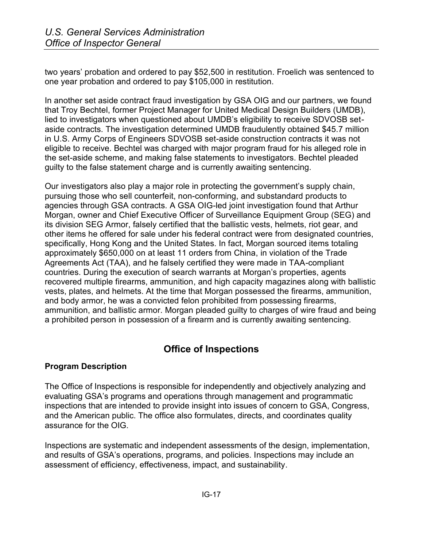two years' probation and ordered to pay \$52,500 in restitution. Froelich was sentenced to one year probation and ordered to pay \$105,000 in restitution.

In another set aside contract fraud investigation by GSA OIG and our partners, we found that Troy Bechtel, former Project Manager for United Medical Design Builders (UMDB), lied to investigators when questioned about UMDB's eligibility to receive SDVOSB setaside contracts. The investigation determined UMDB fraudulently obtained \$45.7 million in U.S. Army Corps of Engineers SDVOSB set-aside construction contracts it was not eligible to receive. Bechtel was charged with major program fraud for his alleged role in the set-aside scheme, and making false statements to investigators. Bechtel pleaded guilty to the false statement charge and is currently awaiting sentencing.

Our investigators also play a major role in protecting the government's supply chain, pursuing those who sell counterfeit, non-conforming, and substandard products to agencies through GSA contracts. A GSA OIG-led joint investigation found that Arthur Morgan, owner and Chief Executive Officer of Surveillance Equipment Group (SEG) and its division SEG Armor, falsely certified that the ballistic vests, helmets, riot gear, and other items he offered for sale under his federal contract were from designated countries, specifically, Hong Kong and the United States. In fact, Morgan sourced items totaling approximately \$650,000 on at least 11 orders from China, in violation of the Trade Agreements Act (TAA), and he falsely certified they were made in TAA-compliant countries. During the execution of search warrants at Morgan's properties, agents recovered multiple firearms, ammunition, and high capacity magazines along with ballistic vests, plates, and helmets. At the time that Morgan possessed the firearms, ammunition, and body armor, he was a convicted felon prohibited from possessing firearms, ammunition, and ballistic armor. Morgan pleaded guilty to charges of wire fraud and being a prohibited person in possession of a firearm and is currently awaiting sentencing.

# **Office of Inspections**

### **Program Description**

The Office of Inspections is responsible for independently and objectively analyzing and evaluating GSA's programs and operations through management and programmatic inspections that are intended to provide insight into issues of concern to GSA, Congress, and the American public. The office also formulates, directs, and coordinates quality assurance for the OIG.

Inspections are systematic and independent assessments of the design, implementation, and results of GSA's operations, programs, and policies. Inspections may include an assessment of efficiency, effectiveness, impact, and sustainability.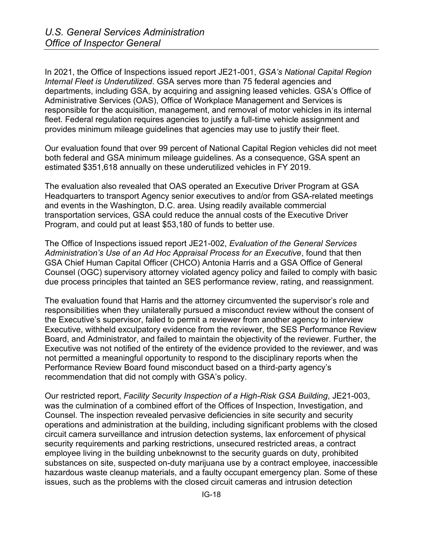In 2021, the Office of Inspections issued report JE21-001, *GSA's National Capital Region Internal Fleet is Underutilized*. GSA serves more than 75 federal agencies and departments, including GSA, by acquiring and assigning leased vehicles. GSA's Office of Administrative Services (OAS), Office of Workplace Management and Services is responsible for the acquisition, management, and removal of motor vehicles in its internal fleet. Federal regulation requires agencies to justify a full-time vehicle assignment and provides minimum mileage guidelines that agencies may use to justify their fleet.

Our evaluation found that over 99 percent of National Capital Region vehicles did not meet both federal and GSA minimum mileage guidelines. As a consequence, GSA spent an estimated \$351,618 annually on these underutilized vehicles in FY 2019.

The evaluation also revealed that OAS operated an Executive Driver Program at GSA Headquarters to transport Agency senior executives to and/or from GSA-related meetings and events in the Washington, D.C. area. Using readily available commercial transportation services, GSA could reduce the annual costs of the Executive Driver Program, and could put at least \$53,180 of funds to better use.

The Office of Inspections issued report JE21-002, *Evaluation of the General Services Administration's Use of an Ad Hoc Appraisal Process for an Executive*, found that then GSA Chief Human Capital Officer (CHCO) Antonia Harris and a GSA Office of General Counsel (OGC) supervisory attorney violated agency policy and failed to comply with basic due process principles that tainted an SES performance review, rating, and reassignment.

The evaluation found that Harris and the attorney circumvented the supervisor's role and responsibilities when they unilaterally pursued a misconduct review without the consent of the Executive's supervisor, failed to permit a reviewer from another agency to interview Executive, withheld exculpatory evidence from the reviewer, the SES Performance Review Board, and Administrator, and failed to maintain the objectivity of the reviewer. Further, the Executive was not notified of the entirety of the evidence provided to the reviewer, and was not permitted a meaningful opportunity to respond to the disciplinary reports when the Performance Review Board found misconduct based on a third-party agency's recommendation that did not comply with GSA's policy.

Our restricted report, *Facility Security Inspection of a High-Risk GSA Building*, JE21-003, was the culmination of a combined effort of the Offices of Inspection, Investigation, and Counsel. The inspection revealed pervasive deficiencies in site security and security operations and administration at the building, including significant problems with the closed circuit camera surveillance and intrusion detection systems, lax enforcement of physical security requirements and parking restrictions, unsecured restricted areas, a contract employee living in the building unbeknownst to the security guards on duty, prohibited substances on site, suspected on-duty marijuana use by a contract employee, inaccessible hazardous waste cleanup materials, and a faulty occupant emergency plan. Some of these issues, such as the problems with the closed circuit cameras and intrusion detection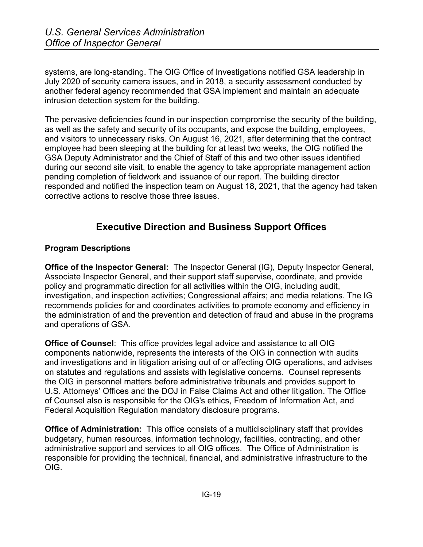systems, are long-standing. The OIG Office of Investigations notified GSA leadership in July 2020 of security camera issues, and in 2018, a security assessment conducted by another federal agency recommended that GSA implement and maintain an adequate intrusion detection system for the building.

The pervasive deficiencies found in our inspection compromise the security of the building, as well as the safety and security of its occupants, and expose the building, employees, and visitors to unnecessary risks. On August 16, 2021, after determining that the contract employee had been sleeping at the building for at least two weeks, the OIG notified the GSA Deputy Administrator and the Chief of Staff of this and two other issues identified during our second site visit, to enable the agency to take appropriate management action pending completion of fieldwork and issuance of our report. The building director responded and notified the inspection team on August 18, 2021, that the agency had taken corrective actions to resolve those three issues.

# **Executive Direction and Business Support Offices**

### **Program Descriptions**

**Office of the Inspector General:** The Inspector General (IG), Deputy Inspector General, Associate Inspector General, and their support staff supervise, coordinate, and provide policy and programmatic direction for all activities within the OIG, including audit, investigation, and inspection activities; Congressional affairs; and media relations. The IG recommends policies for and coordinates activities to promote economy and efficiency in the administration of and the prevention and detection of fraud and abuse in the programs and operations of GSA.

**Office of Counsel**: This office provides legal advice and assistance to all OIG components nationwide, represents the interests of the OIG in connection with audits and investigations and in litigation arising out of or affecting OIG operations, and advises on statutes and regulations and assists with legislative concerns. Counsel represents the OIG in personnel matters before administrative tribunals and provides support to U.S. Attorneys' Offices and the DOJ in False Claims Act and other litigation. The Office of Counsel also is responsible for the OIG's ethics, Freedom of Information Act, and Federal Acquisition Regulation mandatory disclosure programs.

**Office of Administration:** This office consists of a multidisciplinary staff that provides budgetary, human resources, information technology, facilities, contracting, and other administrative support and services to all OIG offices. The Office of Administration is responsible for providing the technical, financial, and administrative infrastructure to the OIG.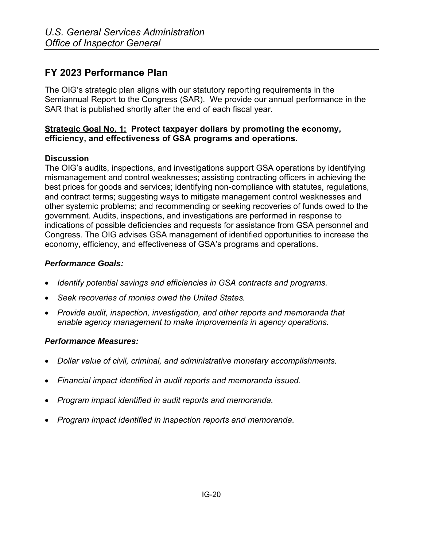# **FY 2023 Performance Plan**

The OIG's strategic plan aligns with our statutory reporting requirements in the Semiannual Report to the Congress (SAR). We provide our annual performance in the SAR that is published shortly after the end of each fiscal year.

#### **Strategic Goal No. 1: Protect taxpayer dollars by promoting the economy, efficiency, and effectiveness of GSA programs and operations.**

### **Discussion**

The OIG's audits, inspections, and investigations support GSA operations by identifying mismanagement and control weaknesses; assisting contracting officers in achieving the best prices for goods and services; identifying non‐compliance with statutes, regulations, and contract terms; suggesting ways to mitigate management control weaknesses and other systemic problems; and recommending or seeking recoveries of funds owed to the government. Audits, inspections, and investigations are performed in response to indications of possible deficiencies and requests for assistance from GSA personnel and Congress. The OIG advises GSA management of identified opportunities to increase the economy, efficiency, and effectiveness of GSA's programs and operations.

### *Performance Goals:*

- *Identify potential savings and efficiencies in GSA contracts and programs.*
- *Seek recoveries of monies owed the United States.*
- *Provide audit, inspection, investigation, and other reports and memoranda that enable agency management to make improvements in agency operations.*

### *Performance Measures:*

- *Dollar value of civil, criminal, and administrative monetary accomplishments.*
- *Financial impact identified in audit reports and memoranda issued.*
- *Program impact identified in audit reports and memoranda.*
- *Program impact identified in inspection reports and memoranda.*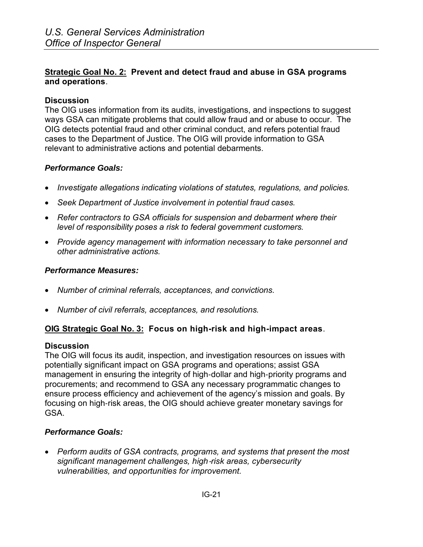#### **Strategic Goal No. 2: Prevent and detect fraud and abuse in GSA programs and operations**.

#### **Discussion**

The OIG uses information from its audits, investigations, and inspections to suggest ways GSA can mitigate problems that could allow fraud and or abuse to occur. The OIG detects potential fraud and other criminal conduct, and refers potential fraud cases to the Department of Justice. The OIG will provide information to GSA relevant to administrative actions and potential debarments.

### *Performance Goals:*

- *Investigate allegations indicating violations of statutes, regulations, and policies.*
- *Seek Department of Justice involvement in potential fraud cases.*
- Refer contractors to GSA officials for suspension and debarment where their *level of responsibility poses a risk to federal government customers.*
- *Provide agency management with information necessary to take personnel and other administrative actions.*

### *Performance Measures:*

- *Number of criminal referrals, acceptances, and convictions.*
- *Number of civil referrals, acceptances, and resolutions.*

### **OIG Strategic Goal No. 3: Focus on high-risk and high-impact areas**.

#### **Discussion**

The OIG will focus its audit, inspection, and investigation resources on issues with potentially significant impact on GSA programs and operations; assist GSA management in ensuring the integrity of high‐dollar and high‐priority programs and procurements; and recommend to GSA any necessary programmatic changes to ensure process efficiency and achievement of the agency's mission and goals. By focusing on high‐risk areas, the OIG should achieve greater monetary savings for GSA.

### *Performance Goals:*

• *Perform audits of GSA contracts, programs, and systems that present the most significant management challenges, high*‐*risk areas, cybersecurity vulnerabilities, and opportunities for improvement.*